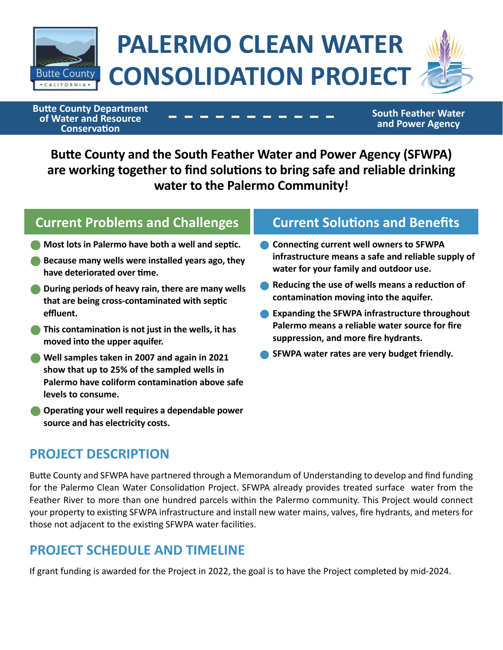

# **PALERMO CLEAN WATER CONSOLIDATION PROJECT**

**Butte County Department of Water and Resource Conservation**

**South Feather Water and Power Agency**

**Butte County and the South Feather Water and Power Agency (SFWPA) are working together to find solutions to bring safe and reliable drinking water to the Palermo Community!**

# **Current Problems and Challenges Current Solutions and Benefits**

- **•Most lots in Palermo have both a well and septic.**
- **•Because many wells were installed years ago, they have deteriorated over time.**
- **•During periods of heavy rain, there are many wells that are being cross-contaminated with septic effluent.**
- **•This contamination is not just in the wells, it has moved into the upper aquifer.**
- **•Well samples taken in 2007 and again in 2021 show that up to 25% of the sampled wells in Palermo have coliform contamination above safe levels to consume.**
- **•Operating your well requires a dependable power source and has electricity costs.**

- •**Connecting current well owners to SFWPA infrastructure means a safe and reliable supply of water for your family and outdoor use.**
- **Reducing the use of wells means a reduction of contamination moving into the aquifer.**
- •**Expanding the SFWPA infrastructure throughout Palermo means a reliable water source for fire suppression, and more fire hydrants.**
- •**SFWPA water rates are very budget friendly.**

### **PROJECT DESCRIPTION**

Butte County and SFWPA have partnered through a Memorandum of Understanding to develop and find funding for the Palermo Clean Water Consolidation Project. SFWPA already provides treated surface water from the Feather River to more than one hundred parcels within the Palermo community. This Project would connect your property to existing SFWPA infrastructure and install new water mains, valves, fire hydrants, and meters for those not adjacent to the existing SFWPA water facilities.

### **PROJECT SCHEDULE AND TIMELINE**

If grant funding is awarded for the Project in 2022, the goal is to have the Project completed by mid‐2024.